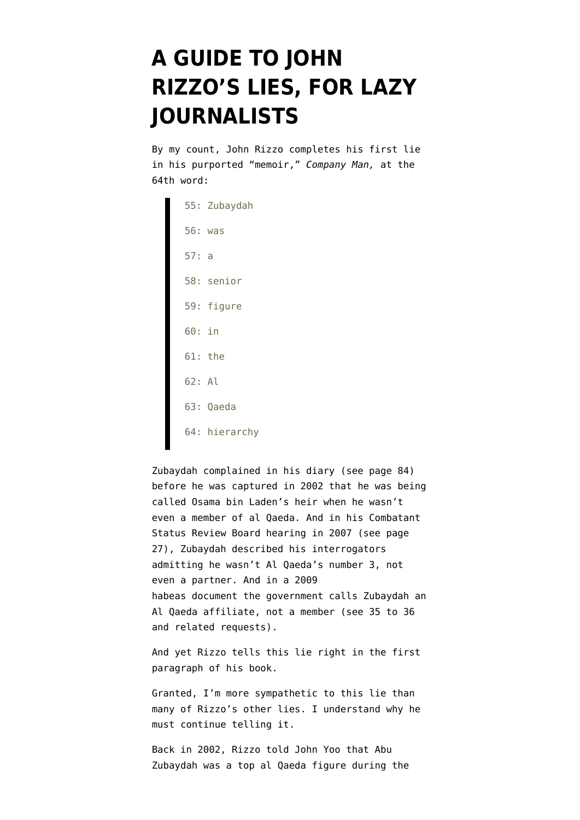## **[A GUIDE TO JOHN](https://www.emptywheel.net/2014/04/17/a-guide-to-john-rizzos-lies-for-lazy-journalists/) [RIZZO'S LIES, FOR LAZY](https://www.emptywheel.net/2014/04/17/a-guide-to-john-rizzos-lies-for-lazy-journalists/) [JOURNALISTS](https://www.emptywheel.net/2014/04/17/a-guide-to-john-rizzos-lies-for-lazy-journalists/)**

By my count, John Rizzo completes his first lie in his purported "memoir," *Company Man,* at the 64th word:

55: Zubaydah 56: was 57: a 58: senior 59: figure 60: in 61: the 62: Al 63: Qaeda 64: hierarchy

Zubaydah complained in his diary [\(see page 84](http://america.aljazeera.com/multimedia/2013/11/original-documentabuzubaydahdiariesvolumesix.html)) before he was captured in 2002 that he was being called Osama bin Laden's heir when he wasn't even a member of al Qaeda. And in his Combatant Status Review Board hearing in 2007 [\(see page](https://www.aclu.org/sites/default/files/pdfs/safefree/csrt_abuzubaydah.pdf) [27\)](https://www.aclu.org/sites/default/files/pdfs/safefree/csrt_abuzubaydah.pdf), Zubaydah described his interrogators admitting he wasn't Al Qaeda's number 3, not even a partner. And in a 2009 habeas document the government calls Zubaydah an Al Qaeda affiliate, not a member (see 35 to 36 and [related requests](http://www.emptywheel.net/wp-content/uploads/2010/04/091027-Zubaydah-Response.pdf)).

And yet Rizzo tells this lie right in the first paragraph of his book.

Granted, I'm more sympathetic to this lie than many of Rizzo's other lies. I understand why he must continue telling it.

Back in 2002, Rizzo told John Yoo that Abu Zubaydah was a top al Qaeda figure during the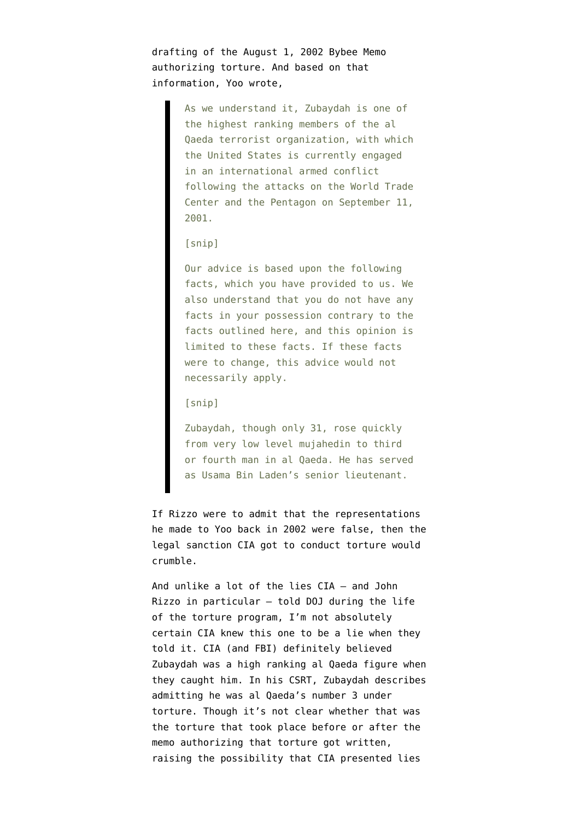drafting of the [August 1, 2002 Bybee Memo](http://stream.luxmedia501.com/?file=clients/aclu/olc_08012002_bybee.pdf&method=dl) authorizing torture. And based on that information, Yoo wrote,

> As we understand it, Zubaydah is one of the highest ranking members of the al Qaeda terrorist organization, with which the United States is currently engaged in an international armed conflict following the attacks on the World Trade Center and the Pentagon on September 11, 2001.

## [snip]

Our advice is based upon the following facts, which you have provided to us. We also understand that you do not have any facts in your possession contrary to the facts outlined here, and this opinion is limited to these facts. If these facts were to change, this advice would not necessarily apply.

## [snip]

Zubaydah, though only 31, rose quickly from very low level mujahedin to third or fourth man in al Qaeda. He has served as Usama Bin Laden's senior lieutenant.

If Rizzo were to admit that the representations he made to Yoo back in 2002 were false, then the legal sanction CIA got to conduct torture would crumble.

And unlike a lot of the lies CIA — and John Rizzo in particular — told DOJ during the life of the torture program, I'm not absolutely certain CIA knew this one to be a lie when they told it. CIA (and FBI) definitely believed Zubaydah was a high ranking al Qaeda figure when they caught him. In his CSRT, Zubaydah describes admitting he was al Qaeda's number 3 under torture. Though it's not clear whether that was the torture that took place before or after the memo authorizing that torture got written, raising the possibility that CIA presented lies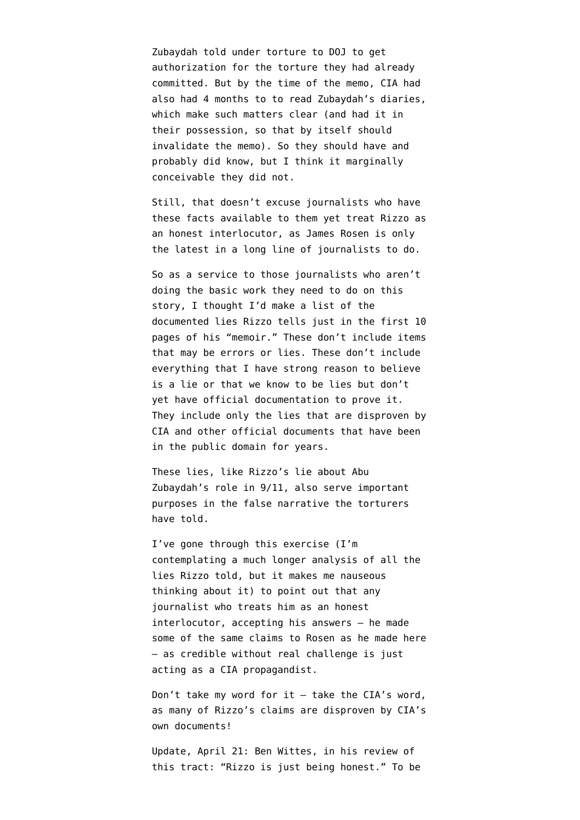Zubaydah told under torture to DOJ to get authorization for the torture they had already committed. But by the time of the memo, CIA had also had 4 months to to read Zubaydah's diaries, which make such matters clear (and had it in their possession, so that by itself should invalidate the memo). So they should have and probably did know, but I think it marginally conceivable they did not.

Still, that doesn't excuse journalists who have these facts available to them yet treat Rizzo as an honest interlocutor, as [James Rosen is only](http://www.sacbee.com/2014/04/16/6329996/cias-former-top-lawyer-fires-back.html) [the latest](http://www.sacbee.com/2014/04/16/6329996/cias-former-top-lawyer-fires-back.html) in a long line of journalists to do.

So as a service to those journalists who aren't doing the basic work they need to do on this story, I thought I'd make a list of the documented lies Rizzo tells just in the first 10 pages of his "memoir." These don't include items that may be errors or lies. These don't include everything that I have strong reason to believe is a lie or that we know to be lies but don't yet have official documentation to prove it. They include only the lies that are disproven by CIA and other official documents that have been in the public domain for years.

These lies, like Rizzo's lie about Abu Zubaydah's role in 9/11, also serve important purposes in the false narrative the torturers have told.

I've gone through this exercise (I'm contemplating a much longer analysis of all the lies Rizzo told, but it makes me nauseous thinking about it) to point out that any journalist who treats him as an honest interlocutor, accepting his answers — he made some of the same claims to Rosen as he made here — as credible without real challenge is just acting as a CIA propagandist.

Don't take my word for it  $-$  take the CIA's word, as many of Rizzo's claims are disproven by CIA's own documents!

Update, April 21: Ben Wittes, in his [review](http://www.lawfareblog.com/2014/04/company-man-thirty-years-of-controversy-and-crisis-in-the-cia/) of this tract: "Rizzo is just being honest." To be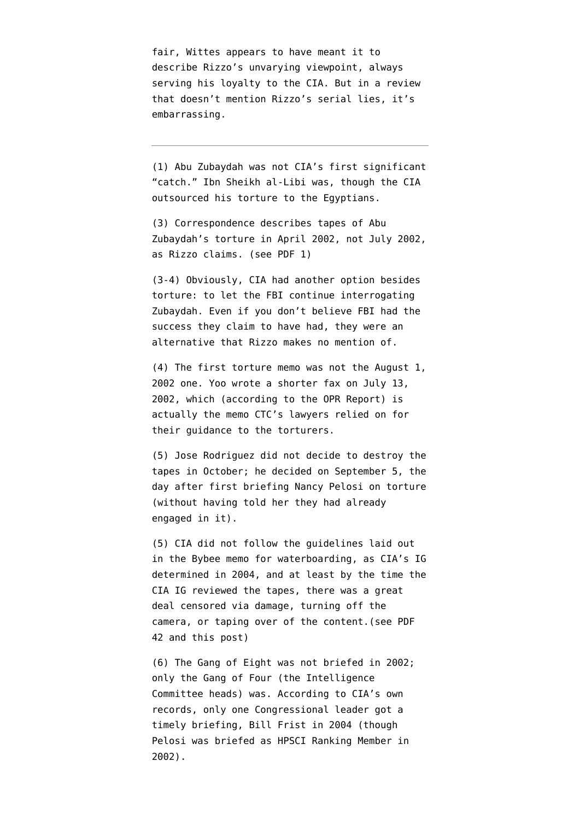fair, Wittes appears to have meant it to describe Rizzo's unvarying viewpoint, always serving his loyalty to the CIA. But in a review that doesn't mention Rizzo's serial lies, it's embarrassing.

(1) Abu Zubaydah was not CIA's first significant "catch." Ibn Sheikh al-Libi was, though the CIA outsourced his torture to the Egyptians.

(3) Correspondence describes tapes of Abu Zubaydah's torture in April 2002, not July 2002, as Rizzo claims. ([see PDF 1](https://www.aclu.org/files/assets/cia_release20100415_p01-09.pdf))

(3-4) Obviously, CIA had another option besides torture: to let the FBI continue interrogating Zubaydah. Even if you don't believe FBI had the success they claim to have had, they were an alternative that Rizzo makes no mention of.

(4) The first torture memo was not the August 1, 2002 one. Yoo [wrote a shorter fax on July 13,](http://www.emptywheel.net/2010/03/29/abu-zubaydahs-torturers-relied-on-july-13-yoo-fax-not-bybee-memo/) [2002](http://www.emptywheel.net/2010/03/29/abu-zubaydahs-torturers-relied-on-july-13-yoo-fax-not-bybee-memo/), which (according to the OPR Report) is actually the memo CTC's lawyers relied on for their guidance to the torturers.

(5) Jose Rodriguez did not decide to destroy the tapes in October; he [decided](http://www.emptywheel.net/2010/06/13/they-changed-the-pelosi-briefing-description-after-deciding-to-destroy-torture-tapes/) on September 5, the day after first briefing Nancy Pelosi on torture (without having told her they had already engaged in it).

(5) CIA did not follow the guidelines laid out in the Bybee memo for waterboarding, as CIA's IG determined in 2004, and at least by the time the CIA IG reviewed the tapes, there was a great deal censored via damage, turning off the camera, or taping over of the content.([see PDF](http://media.luxmedia.com/aclu/IG_Report.pdf) [42](http://media.luxmedia.com/aclu/IG_Report.pdf) and [this post\)](http://www.emptywheel.net/2010/04/16/cias-lawyer-did-not-record-destroyed-tapes/)

(6) The Gang of Eight was not briefed in 2002; only the Gang of Four (the Intelligence Committee heads) was. According to CIA's own records, [only one Congressional leader](http://www.emptywheel.net/2010/02/22/michael-hayden-lied-to-ssci-on-april-12-2007/) got a timely briefing, Bill Frist in 2004 (though Pelosi was briefed as HPSCI Ranking Member in 2002).